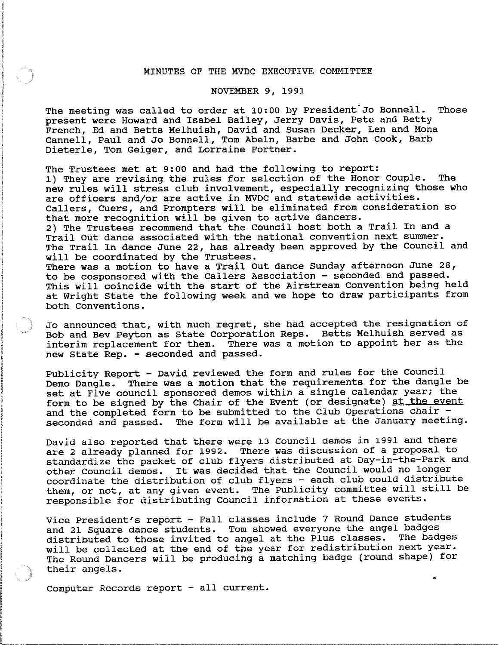## MINUTES OF THE MVDC EXECUTIVE COMMITTEE

## NOVEMBER 9, 1991

The meeting was called to order at 10:00 by President'Jo Bonnell. Those present were Howard and Isabel Bailey, Jerry Davis, Pete and Betty French, Ed and Betts Melhuish, David and Susan Decker, Len and Mona Cannell, Paul and Jo Bonnell, Tom Abeln, Barbe and John Cook, Barb Dieterle, Tom Geiger, and Lorraine Fortner.

The Trustees met at 9:00 and had the following to report: 1) They are revising the rules for selection of the Honor Couple. The new rules will stress club involvement, especially recognizing those who are officers and/or are active in MVDC and statewide activities. Callers, Cuers, and Prompters will be eliminated from consideration so that more recognition will be given to active dancers. 2) The Trustees recommend that the Council host both a Trail In and a Trail Out dance associated with the national convention next summer. The Trail In dance June 22, has already been approved by the Council and will be coordinated by the Trustees. There was a motion to have a Trail Out dance Sunday afternoon June 28, to be cosponsored with the Callers Association - seconded and passed. This will coincide with the start of the Airstream Convention being held at Wright State the following week and we hope to draw participants from both Conventions.

Jo announced that, with much regret, she had accepted the resignation of Bob and Bev Peyton as State Corporation Reps. Betts Melhuish served as interim replacement for them. There was a motion to appoint her as the new State Rep. - seconded and passed.

Publicity Report - David reviewed the form and rules for the Council Demo Dangle. There was a motion that the requirements for the dangle be set at Five council sponsored demos within a single calendar year; the form to be signed by the Chair of the Event (or designate) at the event and the completed form to be submitted to the Club Operations chair seconded and passed. The form will be available at the January meeting.

David also reported that there were 13 Council demos in 1991 and there are 2 already planned for 1992. There was discussion of a proposal to standardize the packet of club flyers distributed at Day-in-the-Park and other Council demos. It was decided that the Council would no longer coordinate the distribution of club flyers - each club could distribute them, or not, at any given event. The Publicity committee will still be responsible for distributing Council information at these events.

Vice President's report - Fall classes include 7 Round Dance students and 21 Square dance students. Tom showed everyone the angel badges distributed to those invited to angel at the Plus classes. The badges will be collected at the end of the year for redistribution next year. The Round Dancers will be producing a matching badge (round shape) for their angels.

•

Computer Records report - all current.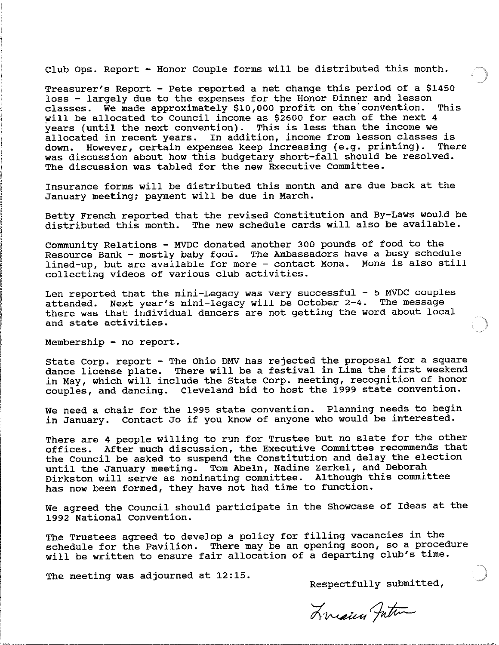Club Ops. Report - Honor Couple forms will be distributed this month.

Treasurer's Report - Pete reported a net change this period of a \$1450 loss - largely due to the expenses for the Honor Dinner and lesson<br>classes. We made approximately \$10,000 profit on the convention. This classes. We made approximately \$10,000 profit on the convention. will be allocated to Council income as \$2600 for each of the next 4 years (until the next convention). This is less than the income we allocated in recent years. In addition, income from lesson classes is down. However, certain expenses keep increasing (e.g. printing). There was discussion about how this budgetary short-fall should be resolved. The discussion was tabled for the new Executive Committee.

Insurance forms will be distributed this month and are due back at the January meeting; payment will be due in March.

Betty French reported that the revised Constitution and By-Laws would be distributed this month. The new schedule cards will also be available.

Community Relations - MVDC donated another 300 pounds of food to the Resource Bank - mostly baby food. The Ambassadors have a busy schedule lined-up, but are available for more - contact Mona. Mona is also still collecting videos of various club activities.

Len reported that the mini-Legacy was very successful -  $5$  MVDC couples attended. Next year's mini-legacy will be october 2-4. The message there was that individual dancers are not getting the word about local and state activities.

Membership - no report.

state Corp. report - The Ohio DMV has rejected the proposal for a square dance license plate. There will be a festival in Lima the first weekend in May, which will include the state Corp. meeting, recognition of honor couples, and dancing. Cleveland bid to host the 1999 state convention.

We need a chair for the 1995 state convention. Planning needs to begin in January. Contact Jo if you know of anyone who would be interested.

There are 4 people willing to run for Trustee but no slate for the other offices. After much discussion, the Executive Committee recommends that the Council be asked to suspend the Constitution and delay the election until the January meeting. Tom Abeln, Nadine Zerkel, and Deborah Dirkston will serve as nominating committee. Although this committee has now been formed, they have not had time to function.

We agreed the Council should participate in the Showcase of Ideas at the 1992 National Convention.

The Trustees agreed to develop a policy for filling vacancies in the schedule for the Pavilion. There may be an opening soon, so a procedure will be written to ensure fair allocation of a departing club's time.

The meeting was adjourned at 12:15.

Respectfully submitted,

Liniary Jutin